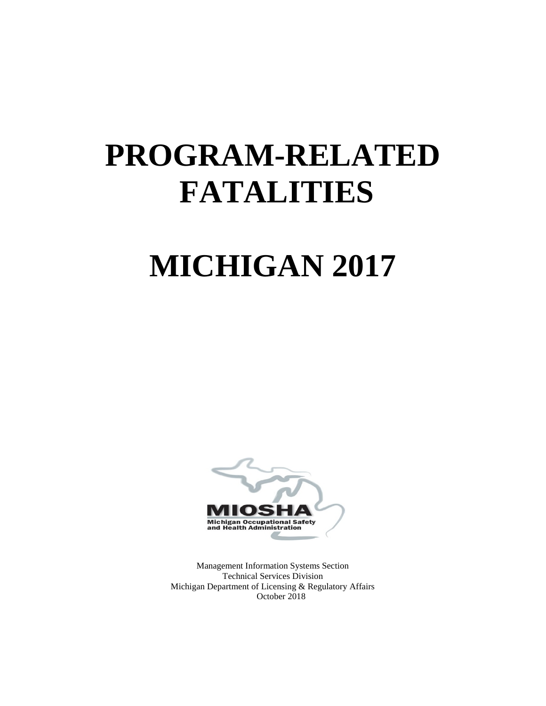# **PROGRAM-RELATED FATALITIES**

# **MICHIGAN 2017**



Management Information Systems Section Technical Services Division Michigan Department of Licensing & Regulatory Affairs October 2018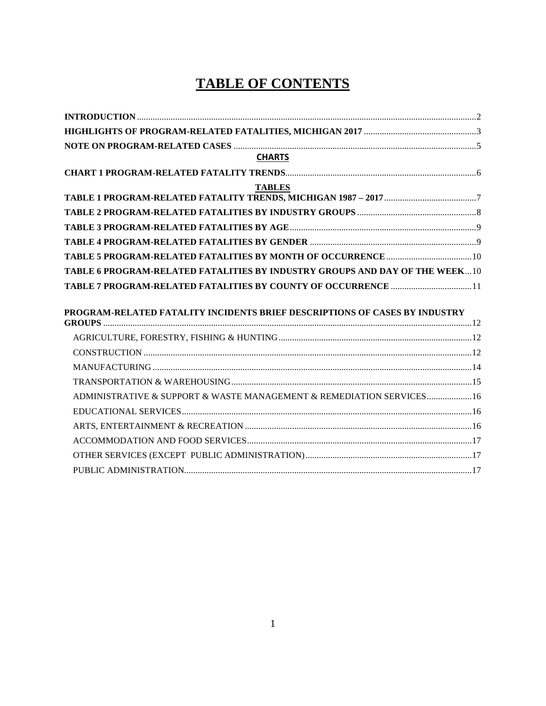# **TABLE OF CONTENTS**

| <b>CHARTS</b>                                                               |  |
|-----------------------------------------------------------------------------|--|
|                                                                             |  |
| <b>TABLES</b>                                                               |  |
|                                                                             |  |
|                                                                             |  |
|                                                                             |  |
|                                                                             |  |
|                                                                             |  |
| TABLE 6 PROGRAM-RELATED FATALITIES BY INDUSTRY GROUPS AND DAY OF THE WEEK10 |  |
| TABLE 7 PROGRAM-RELATED FATALITIES BY COUNTY OF OCCURRENCE  11              |  |
|                                                                             |  |
| PROGRAM-RELATED FATALITY INCIDENTS BRIEF DESCRIPTIONS OF CASES BY INDUSTRY  |  |
|                                                                             |  |
|                                                                             |  |
|                                                                             |  |
|                                                                             |  |
|                                                                             |  |
| ADMINISTRATIVE & SUPPORT & WASTE MANAGEMENT & REMEDIATION SERVICES 16       |  |
|                                                                             |  |
|                                                                             |  |
|                                                                             |  |
|                                                                             |  |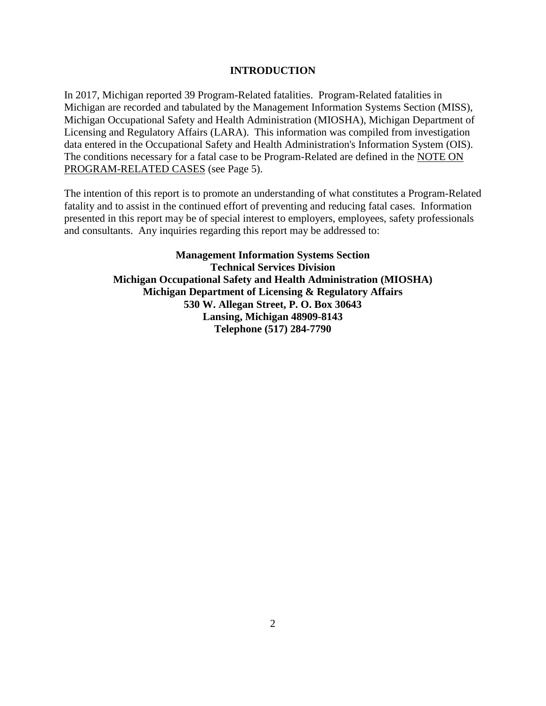# <span id="page-2-1"></span>**INTRODUCTION**

<span id="page-2-0"></span>In 2017, Michigan reported 39 Program-Related fatalities. Program-Related fatalities in Michigan are recorded and tabulated by the Management Information Systems Section (MISS), Michigan Occupational Safety and Health Administration (MIOSHA), Michigan Department of Licensing and Regulatory Affairs (LARA). This information was compiled from investigation data entered in the Occupational Safety and Health Administration's Information System (OIS). The conditions necessary for a fatal case to be Program-Related are defined in the [NOTE ON](#page-5-1)  [PROGRAM-RELATED CASES \(see Page 5\).](#page-5-1) 

The intention of this report is to promote an understanding of what constitutes a Program-Related fatality and to assist in the continued effort of preventing and reducing fatal cases. Information presented in this report may be of special interest to employers, employees, safety professionals and consultants. Any inquiries regarding this report may be addressed to:

> **Management Information Systems Section Technical Services Division Michigan Occupational Safety and Health Administration (MIOSHA) Michigan Department of Licensing & Regulatory Affairs 530 W. Allegan Street, P. O. Box 30643 Lansing, Michigan 48909-8143 Telephone (517) 284-7790**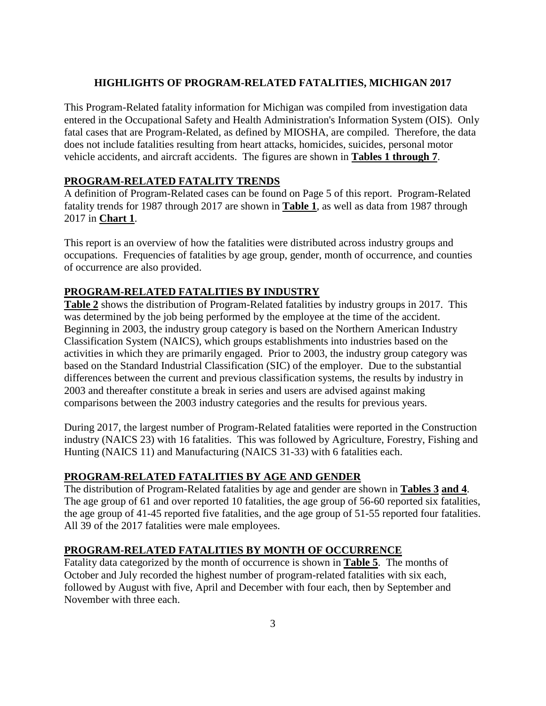## <span id="page-3-1"></span><span id="page-3-0"></span>**HIGHLIGHTS OF PROGRAM-RELATED FATALITIES, MICHIGAN 2017**

This Program-Related fatality information for Michigan was compiled from investigation data entered in the Occupational Safety and Health Administration's Information System (OIS). Only fatal cases that are Program-Related, as defined by MIOSHA, are compiled. Therefore, the data does not include fatalities resulting from heart attacks, homicides, suicides, personal motor vehicle accidents, and aircraft accidents. The figures are shown in **[Tables 1 through 7](#page-7-1)**.

#### **PROGRAM-RELATED FATALITY TRENDS**

A definition of Program-Related cases can be found on Page 5 of this report. Program-Related fatality trends for 1987 through 2017 are shown in **[Table 1](#page-7-1)**, as well as data from 1987 through 2017 in **[Chart 1](#page-6-1)**.

This report is an overview of how the fatalities were distributed across industry groups and occupations. Frequencies of fatalities by age group, gender, month of occurrence, and counties of occurrence are also provided.

# **PROGRAM-RELATED FATALITIES BY INDUSTRY**

**[Table 2](#page-8-1)** shows the distribution of Program-Related fatalities by industry groups in 2017. This was determined by the job being performed by the employee at the time of the accident. Beginning in 2003, the industry group category is based on the Northern American Industry Classification System (NAICS), which groups establishments into industries based on the activities in which they are primarily engaged. Prior to 2003, the industry group category was based on the Standard Industrial Classification (SIC) of the employer. Due to the substantial differences between the current and previous classification systems, the results by industry in 2003 and thereafter constitute a break in series and users are advised against making comparisons between the 2003 industry categories and the results for previous years.

During 2017, the largest number of Program-Related fatalities were reported in the Construction industry (NAICS 23) with 16 fatalities. This was followed by Agriculture, Forestry, Fishing and Hunting (NAICS 11) and Manufacturing (NAICS 31-33) with 6 fatalities each.

#### **PROGRAM-RELATED FATALITIES BY AGE AND GENDER**

The distribution of Program-Related fatalities by age and gender are shown in **[Tables 3](#page-9-2) [and 4](#page-9-3)**. The age group of 61 and over reported 10 fatalities, the age group of 56-60 reported six fatalities, the age group of 41-45 reported five fatalities, and the age group of 51-55 reported four fatalities. All 39 of the 2017 fatalities were male employees.

#### **PROGRAM-RELATED FATALITIES BY MONTH OF OCCURRENCE**

Fatality data categorized by the month of occurrence is shown in **[Table 5](#page-10-2)**. The months of October and July recorded the highest number of program-related fatalities with six each, followed by August with five, April and December with four each, then by September and November with three each.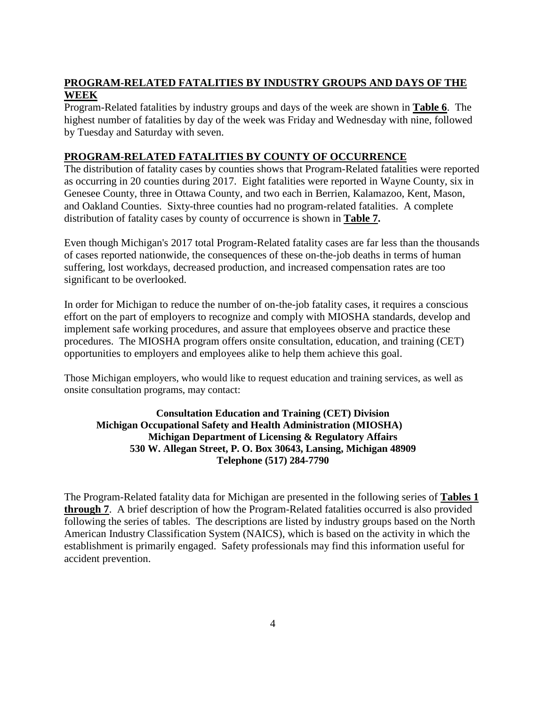# **PROGRAM-RELATED FATALITIES BY INDUSTRY GROUPS AND DAYS OF THE WEEK**

Program-Related fatalities by industry groups and days of the week are shown in **[Table 6](#page-10-3)**. The highest number of fatalities by day of the week was Friday and Wednesday with nine, followed by Tuesday and Saturday with seven.

# **PROGRAM-RELATED FATALITIES BY COUNTY OF OCCURRENCE**

The distribution of fatality cases by counties shows that Program-Related fatalities were reported as occurring in 20 counties during 2017. Eight fatalities were reported in Wayne County, six in Genesee County, three in Ottawa County, and two each in Berrien, Kalamazoo, Kent, Mason, and Oakland Counties. Sixty-three counties had no program-related fatalities. A complete distribution of fatality cases by county of occurrence is shown in **[Table 7.](#page-11-1)**

Even though Michigan's 2017 total Program-Related fatality cases are far less than the thousands of cases reported nationwide, the consequences of these on-the-job deaths in terms of human suffering, lost workdays, decreased production, and increased compensation rates are too significant to be overlooked.

In order for Michigan to reduce the number of on-the-job fatality cases, it requires a conscious effort on the part of employers to recognize and comply with MIOSHA standards, develop and implement safe working procedures, and assure that employees observe and practice these procedures. The MIOSHA program offers onsite consultation, education, and training (CET) opportunities to employers and employees alike to help them achieve this goal.

Those Michigan employers, who would like to request education and training services, as well as onsite consultation programs, may contact:

**Consultation Education and Training (CET) Division Michigan Occupational Safety and Health Administration (MIOSHA) Michigan Department of Licensing & Regulatory Affairs 530 W. Allegan Street, P. O. Box 30643, Lansing, Michigan 48909 Telephone (517) 284-7790** 

The Program-Related fatality data for Michigan are presented in the following series of **[Tables 1](#page-7-1) through 7**[. A brief description of how the Program-Related fatalities occurred is also provided](#page-7-1)  following the series of tables. The descriptions are listed by industry groups based on the North American Industry Classification System (NAICS), which is based on the activity in which the establishment is primarily engaged. Safety professionals may find this information useful for accident prevention.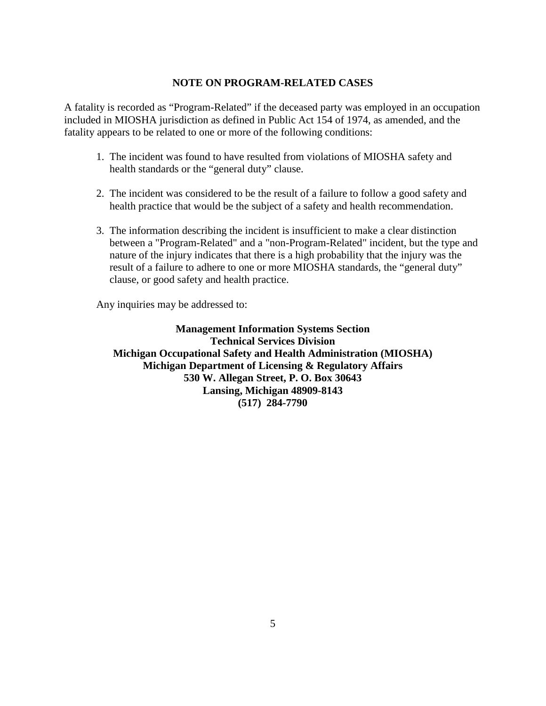#### <span id="page-5-1"></span>**NOTE ON PROGRAM-RELATED CASES**

<span id="page-5-0"></span>A fatality is recorded as "Program-Related" if the deceased party was employed in an occupation included in MIOSHA jurisdiction as defined in Public Act 154 of 1974, as amended, and the fatality appears to be related to one or more of the following conditions:

- 1. The incident was found to have resulted from violations of MIOSHA safety and health standards or the "general duty" clause.
- 2. The incident was considered to be the result of a failure to follow a good safety and health practice that would be the subject of a safety and health recommendation.
- 3. The information describing the incident is insufficient to make a clear distinction between a "Program-Related" and a "non-Program-Related" incident, but the type and nature of the injury indicates that there is a high probability that the injury was the result of a failure to adhere to one or more MIOSHA standards, the "general duty" clause, or good safety and health practice.

Any inquiries may be addressed to:

**Management Information Systems Section Technical Services Division Michigan Occupational Safety and Health Administration (MIOSHA) Michigan Department of Licensing & Regulatory Affairs 530 W. Allegan Street, P. O. Box 30643 Lansing, Michigan 48909-8143 (517) 284-7790**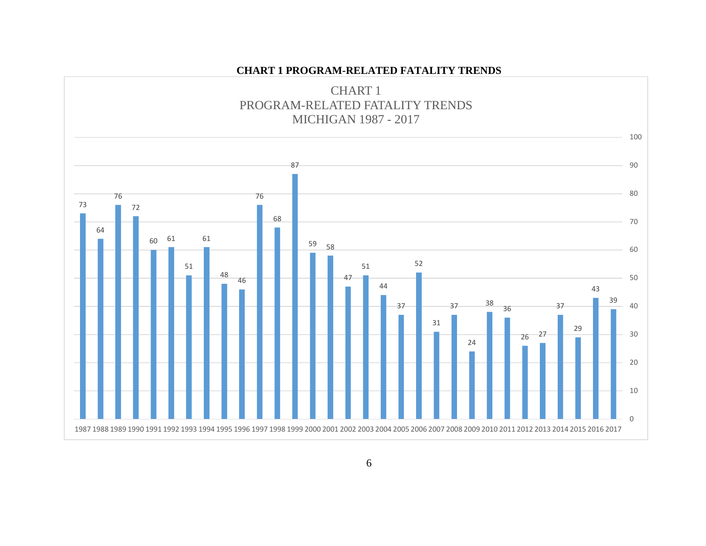<span id="page-6-0"></span>

# <span id="page-6-1"></span>**CHART 1 PROGRAM-RELATED FATALITY TRENDS**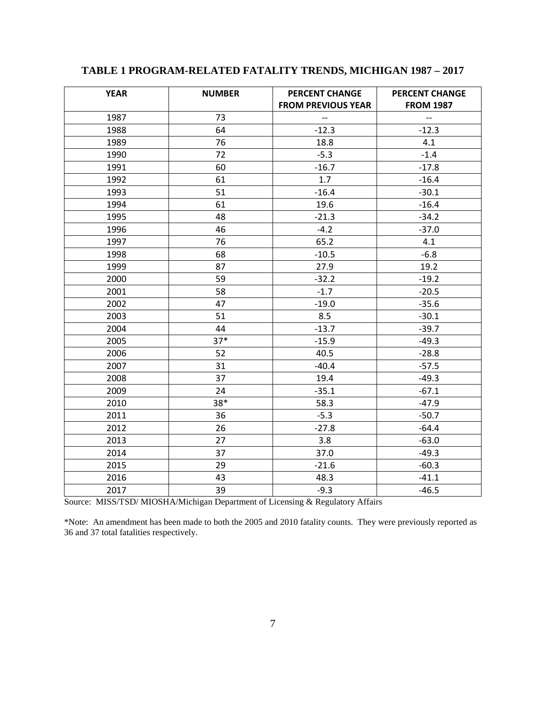| <b>YEAR</b> | <b>NUMBER</b> | <b>PERCENT CHANGE</b><br><b>FROM PREVIOUS YEAR</b> | <b>PERCENT CHANGE</b><br><b>FROM 1987</b> |  |
|-------------|---------------|----------------------------------------------------|-------------------------------------------|--|
| 1987        | 73            | $-$                                                | --                                        |  |
| 1988        | 64<br>$-12.3$ |                                                    | $-12.3$                                   |  |
| 1989        | 76            | 18.8                                               | 4.1                                       |  |
| 1990        | 72            | $-5.3$                                             | $-1.4$                                    |  |
| 1991        | 60            | $-16.7$                                            | $-17.8$                                   |  |
| 1992        | 61            | 1.7                                                | $-16.4$                                   |  |
| 1993        | 51            | $-16.4$                                            | $-30.1$                                   |  |
| 1994        | 61            | 19.6                                               | $-16.4$                                   |  |
| 1995        | 48            | $-21.3$                                            | $-34.2$                                   |  |
| 1996        | 46            | $-4.2$                                             | $-37.0$                                   |  |
| 1997        | 76            | 65.2                                               | 4.1                                       |  |
| 1998        | 68            | $-10.5$                                            | $-6.8$                                    |  |
| 1999        | 87            | 27.9                                               | 19.2                                      |  |
| 2000        | 59            | $-32.2$                                            | $-19.2$                                   |  |
| 2001        | 58            | $-1.7$                                             | $-20.5$                                   |  |
| 2002        | 47            | $-19.0$                                            | $-35.6$                                   |  |
| 2003        | 51            | 8.5                                                | $-30.1$                                   |  |
| 2004        | 44            | $-39.7$<br>$-13.7$                                 |                                           |  |
| 2005        | $37*$         | $-15.9$                                            | $-49.3$                                   |  |
| 2006        | 52            | 40.5<br>$-28.8$                                    |                                           |  |
| 2007        | 31            | $-40.4$                                            | $-57.5$                                   |  |
| 2008        | 37            | 19.4                                               | $-49.3$                                   |  |
| 2009        | 24            | $-35.1$                                            | $-67.1$                                   |  |
| 2010        | $38*$         | 58.3                                               | $-47.9$                                   |  |
| 2011        | 36            | $-5.3$                                             | $-50.7$                                   |  |
| 2012        | 26            | $-27.8$                                            | $-64.4$                                   |  |
| 2013        | 27            | 3.8                                                | $-63.0$                                   |  |
| 2014        | 37            | 37.0                                               | $-49.3$                                   |  |
| 2015        | 29            | $-21.6$                                            | $-60.3$                                   |  |
| 2016        | 43            | 48.3                                               | $-41.1$                                   |  |
| 2017        | 39            | $-9.3$                                             | $-46.5$                                   |  |

# <span id="page-7-1"></span><span id="page-7-0"></span>**TABLE 1 PROGRAM-RELATED FATALITY TRENDS, MICHIGAN 1987 – 2017**

Source: MISS/TSD/ MIOSHA/Michigan Department of Licensing & Regulatory Affairs

\*Note: An amendment has been made to both the 2005 and 2010 fatality counts. They were previously reported as 36 and 37 total fatalities respectively.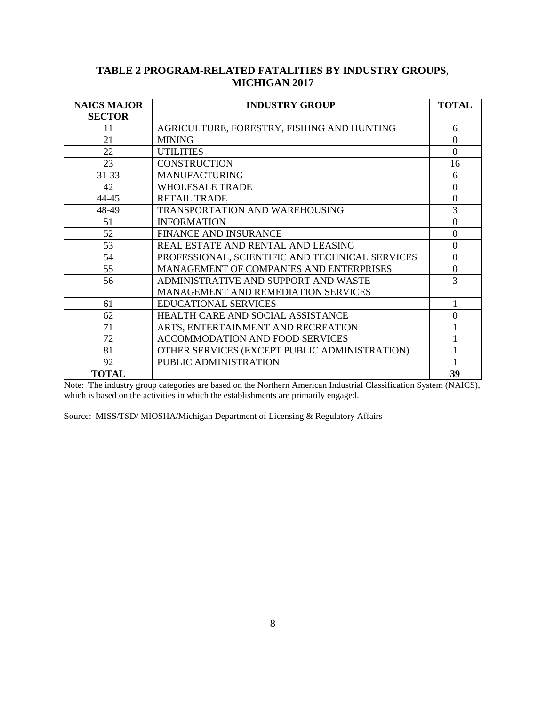# <span id="page-8-1"></span><span id="page-8-0"></span>**TABLE 2 PROGRAM-RELATED FATALITIES BY INDUSTRY GROUPS**, **MICHIGAN 2017**

| <b>NAICS MAJOR</b> | <b>INDUSTRY GROUP</b>                           |                  |  |
|--------------------|-------------------------------------------------|------------------|--|
| <b>SECTOR</b>      |                                                 |                  |  |
| 11                 | AGRICULTURE, FORESTRY, FISHING AND HUNTING      | 6                |  |
| 21                 | <b>MINING</b>                                   | $\boldsymbol{0}$ |  |
| 22                 | <b>UTILITIES</b>                                | $\overline{0}$   |  |
| 23                 | <b>CONSTRUCTION</b>                             | 16               |  |
| $31 - 33$          | <b>MANUFACTURING</b>                            | 6                |  |
| 42                 | <b>WHOLESALE TRADE</b>                          | $\boldsymbol{0}$ |  |
| 44-45              | <b>RETAIL TRADE</b>                             | $\overline{0}$   |  |
| 48-49              | TRANSPORTATION AND WAREHOUSING                  | $\overline{3}$   |  |
| 51                 | <b>INFORMATION</b>                              | $\boldsymbol{0}$ |  |
| 52                 | <b>FINANCE AND INSURANCE</b>                    | $\theta$         |  |
| 53                 | REAL ESTATE AND RENTAL AND LEASING              | $\overline{0}$   |  |
| 54                 | PROFESSIONAL, SCIENTIFIC AND TECHNICAL SERVICES | $\boldsymbol{0}$ |  |
| 55                 | MANAGEMENT OF COMPANIES AND ENTERPRISES         | $\boldsymbol{0}$ |  |
| 56                 | ADMINISTRATIVE AND SUPPORT AND WASTE            | 3                |  |
|                    | MANAGEMENT AND REMEDIATION SERVICES             |                  |  |
| 61                 | <b>EDUCATIONAL SERVICES</b>                     | 1                |  |
| 62                 | HEALTH CARE AND SOCIAL ASSISTANCE               | $\boldsymbol{0}$ |  |
| 71                 | ARTS, ENTERTAINMENT AND RECREATION              |                  |  |
| 72                 | <b>ACCOMMODATION AND FOOD SERVICES</b>          |                  |  |
| 81                 | OTHER SERVICES (EXCEPT PUBLIC ADMINISTRATION)   |                  |  |
| 92                 | PUBLIC ADMINISTRATION                           |                  |  |
| <b>TOTAL</b>       |                                                 | 39               |  |

Note: The industry group categories are based on the Northern American Industrial Classification System (NAICS), which is based on the activities in which the establishments are primarily engaged.

Source: MISS/TSD/ MIOSHA/Michigan Department of Licensing & Regulatory Affairs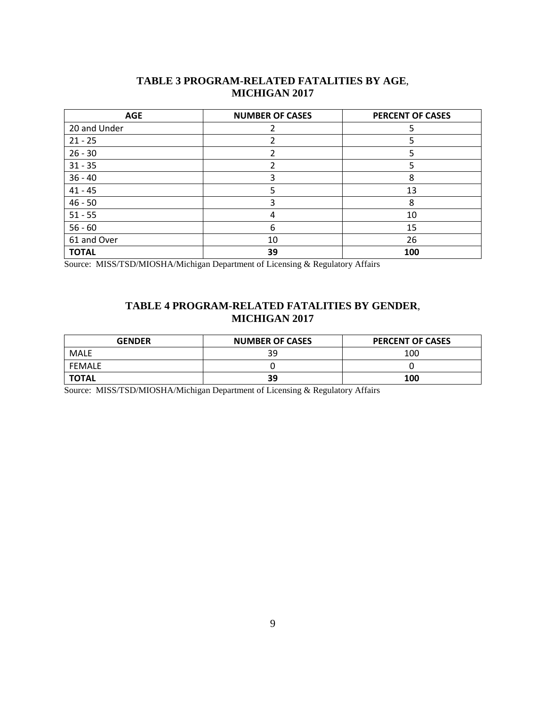# <span id="page-9-2"></span>**TABLE 3 PROGRAM-RELATED FATALITIES BY AGE**, **MICHIGAN 2017**

<span id="page-9-0"></span>

| <b>AGE</b>   | <b>NUMBER OF CASES</b> | <b>PERCENT OF CASES</b> |
|--------------|------------------------|-------------------------|
| 20 and Under |                        |                         |
| $21 - 25$    |                        |                         |
| $26 - 30$    |                        |                         |
| $31 - 35$    |                        |                         |
| $36 - 40$    |                        | 8                       |
| $41 - 45$    |                        | 13                      |
| $46 - 50$    | ੨                      | 8                       |
| $51 - 55$    | 4                      | 10                      |
| $56 - 60$    | 6                      | 15                      |
| 61 and Over  | 10                     | 26                      |
| <b>TOTAL</b> | 39                     | 100                     |

<span id="page-9-1"></span>Source: MISS/TSD/MIOSHA/Michigan Department of Licensing & Regulatory Affairs

# <span id="page-9-3"></span>**TABLE 4 PROGRAM-RELATED FATALITIES BY GENDER**, **MICHIGAN 2017**

| <b>GENDER</b> | <b>NUMBER OF CASES</b> | <b>PERCENT OF CASES</b> |
|---------------|------------------------|-------------------------|
| MALE          | ٦d                     | 100                     |
| <b>FEMALE</b> |                        |                         |
| <b>TOTAL</b>  | 39                     | 100                     |

Source: MISS/TSD/MIOSHA/Michigan Department of Licensing & Regulatory Affairs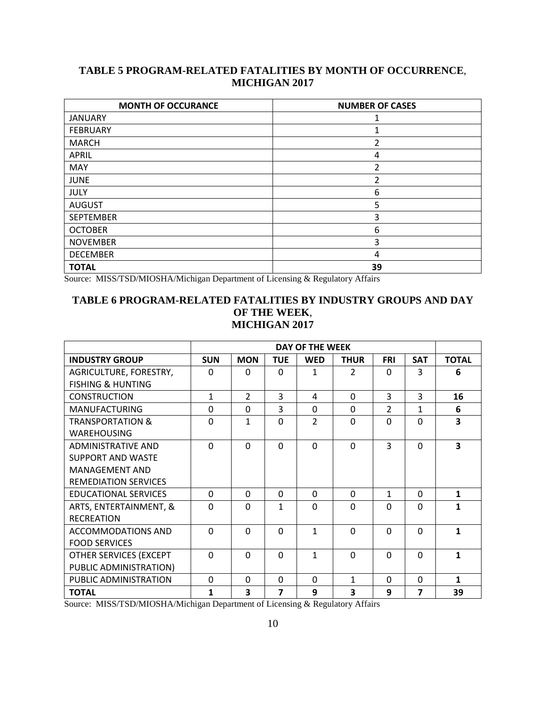# <span id="page-10-2"></span><span id="page-10-0"></span>**TABLE 5 PROGRAM-RELATED FATALITIES BY MONTH OF OCCURRENCE**, **MICHIGAN 2017**

| <b>MONTH OF OCCURANCE</b> | <b>NUMBER OF CASES</b> |
|---------------------------|------------------------|
| <b>JANUARY</b>            |                        |
| <b>FEBRUARY</b>           | 1                      |
| <b>MARCH</b>              | 2                      |
| <b>APRIL</b>              | 4                      |
| MAY                       | 2                      |
| <b>JUNE</b>               | 2                      |
| JULY                      | 6                      |
| <b>AUGUST</b>             | 5                      |
| <b>SEPTEMBER</b>          | 3                      |
| <b>OCTOBER</b>            | 6                      |
| <b>NOVEMBER</b>           | 3                      |
| <b>DECEMBER</b>           | 4                      |
| <b>TOTAL</b>              | 39                     |

Source: MISS/TSD/MIOSHA/Michigan Department of Licensing & Regulatory Affairs

## <span id="page-10-3"></span><span id="page-10-1"></span>**TABLE 6 PROGRAM-RELATED FATALITIES BY INDUSTRY GROUPS AND DAY OF THE WEEK**, **MICHIGAN 2017**

|                              | DAY OF THE WEEK |               |            |                |                         |                          |            |              |
|------------------------------|-----------------|---------------|------------|----------------|-------------------------|--------------------------|------------|--------------|
| <b>INDUSTRY GROUP</b>        | <b>SUN</b>      | <b>MON</b>    | <b>TUE</b> | <b>WED</b>     | <b>THUR</b>             | <b>FRI</b>               | <b>SAT</b> | <b>TOTAL</b> |
| AGRICULTURE, FORESTRY,       | 0               | 0             | $\Omega$   | 1              | $\mathcal{P}$           | $\Omega$                 | 3          | 6            |
| <b>FISHING &amp; HUNTING</b> |                 |               |            |                |                         |                          |            |              |
| <b>CONSTRUCTION</b>          | $\mathbf{1}$    | $\mathcal{P}$ | 3          | 4              | $\Omega$                | 3                        | 3          | 16           |
| <b>MANUFACTURING</b>         | $\Omega$        | 0             | 3          | $\Omega$       | $\Omega$                | $\overline{\mathcal{L}}$ | 1          | 6            |
| <b>TRANSPORTATION &amp;</b>  | $\mathbf 0$     | 1             | $\Omega$   | $\mathfrak{p}$ | $\Omega$                | $\Omega$                 | $\Omega$   | 3            |
| <b>WAREHOUSING</b>           |                 |               |            |                |                         |                          |            |              |
| <b>ADMINISTRATIVE AND</b>    | $\Omega$        | $\Omega$      | $\Omega$   | $\Omega$       | $\Omega$                | 3                        | $\Omega$   | 3            |
| <b>SUPPORT AND WASTE</b>     |                 |               |            |                |                         |                          |            |              |
| <b>MANAGEMENT AND</b>        |                 |               |            |                |                         |                          |            |              |
| <b>REMEDIATION SERVICES</b>  |                 |               |            |                |                         |                          |            |              |
| <b>EDUCATIONAL SERVICES</b>  | $\Omega$        | $\Omega$      | $\Omega$   | $\Omega$       | $\Omega$                | 1                        | $\Omega$   | 1            |
| ARTS, ENTERTAINMENT, &       | $\Omega$        | $\Omega$      | 1          | $\Omega$       | $\Omega$                | $\Omega$                 | $\Omega$   | 1            |
| <b>RECREATION</b>            |                 |               |            |                |                         |                          |            |              |
| ACCOMMODATIONS AND           | $\Omega$        | $\Omega$      | $\Omega$   | 1              | $\Omega$                | $\Omega$                 | $\Omega$   | 1            |
| <b>FOOD SERVICES</b>         |                 |               |            |                |                         |                          |            |              |
| OTHER SERVICES (EXCEPT       | $\Omega$        | $\Omega$      | $\Omega$   | 1              | $\Omega$                | $\Omega$                 | $\Omega$   | 1            |
| PUBLIC ADMINISTRATION)       |                 |               |            |                |                         |                          |            |              |
| PUBLIC ADMINISTRATION        | $\Omega$        | $\Omega$      | $\Omega$   | $\Omega$       | $\mathbf{1}$            | $\Omega$                 | $\Omega$   | $\mathbf{1}$ |
| <b>TOTAL</b>                 | 1               | 3             | 7          | 9              | $\overline{\mathbf{3}}$ | 9                        | 7          | 39           |

Source: MISS/TSD/MIOSHA/Michigan Department of Licensing & Regulatory Affairs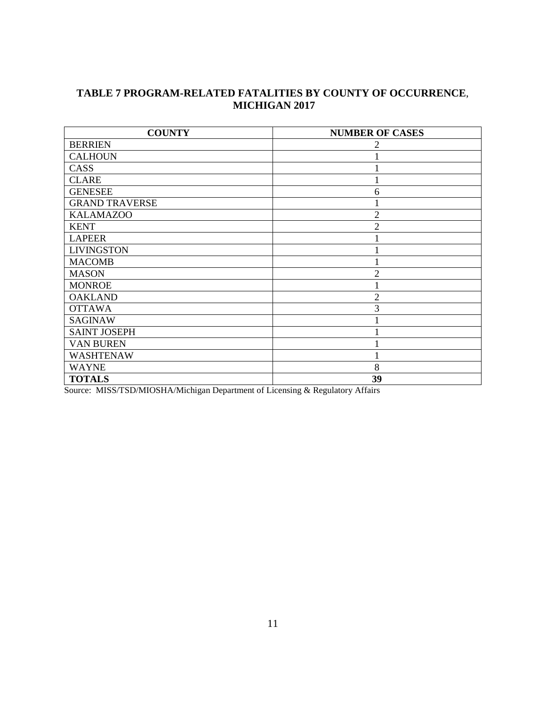# <span id="page-11-1"></span><span id="page-11-0"></span>**TABLE 7 PROGRAM-RELATED FATALITIES BY COUNTY OF OCCURRENCE**,  **MICHIGAN 2017**

| <b>COUNTY</b>         | <b>NUMBER OF CASES</b> |
|-----------------------|------------------------|
| <b>BERRIEN</b>        | 2                      |
| <b>CALHOUN</b>        |                        |
| CASS                  |                        |
| <b>CLARE</b>          |                        |
| <b>GENESEE</b>        | 6                      |
| <b>GRAND TRAVERSE</b> |                        |
| <b>KALAMAZOO</b>      | $\overline{2}$         |
| <b>KENT</b>           | $\overline{2}$         |
| <b>LAPEER</b>         |                        |
| <b>LIVINGSTON</b>     |                        |
| <b>MACOMB</b>         |                        |
| <b>MASON</b>          | $\overline{2}$         |
| <b>MONROE</b>         |                        |
| <b>OAKLAND</b>        | $\overline{2}$         |
| <b>OTTAWA</b>         | 3                      |
| <b>SAGINAW</b>        |                        |
| <b>SAINT JOSEPH</b>   |                        |
| <b>VAN BUREN</b>      |                        |
| <b>WASHTENAW</b>      |                        |
| <b>WAYNE</b>          | 8                      |
| <b>TOTALS</b>         | 39                     |

Source: MISS/TSD/MIOSHA/Michigan Department of Licensing & Regulatory Affairs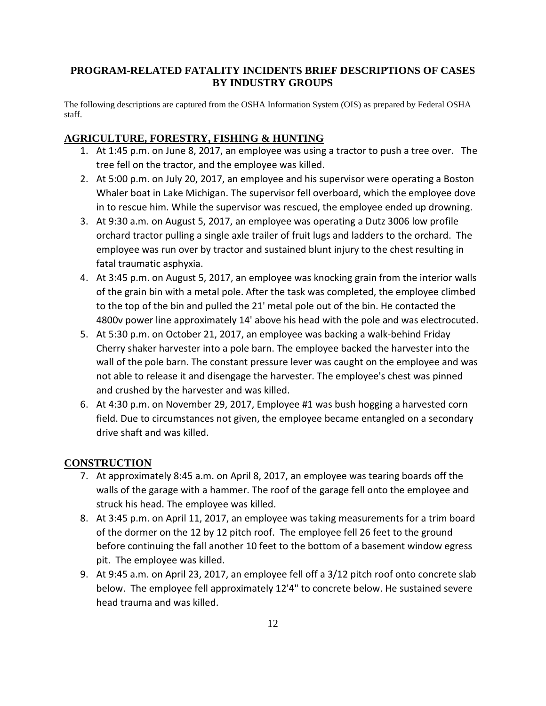# <span id="page-12-0"></span>**PROGRAM-RELATED FATALITY INCIDENTS BRIEF DESCRIPTIONS OF CASES BY INDUSTRY GROUPS**

The following descriptions are captured from the OSHA Information System (OIS) as prepared by Federal OSHA staff.

# <span id="page-12-1"></span>**AGRICULTURE, FORESTRY, FISHING & HUNTING**

- 1. At 1:45 p.m. on June 8, 2017, an employee was using a tractor to push a tree over. The tree fell on the tractor, and the employee was killed.
- 2. At 5:00 p.m. on July 20, 2017, an employee and his supervisor were operating a Boston Whaler boat in Lake Michigan. The supervisor fell overboard, which the employee dove in to rescue him. While the supervisor was rescued, the employee ended up drowning.
- 3. At 9:30 a.m. on August 5, 2017, an employee was operating a Dutz 3006 low profile orchard tractor pulling a single axle trailer of fruit lugs and ladders to the orchard. The employee was run over by tractor and sustained blunt injury to the chest resulting in fatal traumatic asphyxia.
- 4. At 3:45 p.m. on August 5, 2017, an employee was knocking grain from the interior walls of the grain bin with a metal pole. After the task was completed, the employee climbed to the top of the bin and pulled the 21' metal pole out of the bin. He contacted the 4800v power line approximately 14' above his head with the pole and was electrocuted.
- 5. At 5:30 p.m. on October 21, 2017, an employee was backing a walk-behind Friday Cherry shaker harvester into a pole barn. The employee backed the harvester into the wall of the pole barn. The constant pressure lever was caught on the employee and was not able to release it and disengage the harvester. The employee's chest was pinned and crushed by the harvester and was killed.
- 6. At 4:30 p.m. on November 29, 2017, Employee #1 was bush hogging a harvested corn field. Due to circumstances not given, the employee became entangled on a secondary drive shaft and was killed.

#### <span id="page-12-2"></span>**CONSTRUCTION**

- 7. At approximately 8:45 a.m. on April 8, 2017, an employee was tearing boards off the walls of the garage with a hammer. The roof of the garage fell onto the employee and struck his head. The employee was killed.
- 8. At 3:45 p.m. on April 11, 2017, an employee was taking measurements for a trim board of the dormer on the 12 by 12 pitch roof. The employee fell 26 feet to the ground before continuing the fall another 10 feet to the bottom of a basement window egress pit. The employee was killed.
- 9. At 9:45 a.m. on April 23, 2017, an employee fell off a 3/12 pitch roof onto concrete slab below. The employee fell approximately 12'4" to concrete below. He sustained severe head trauma and was killed.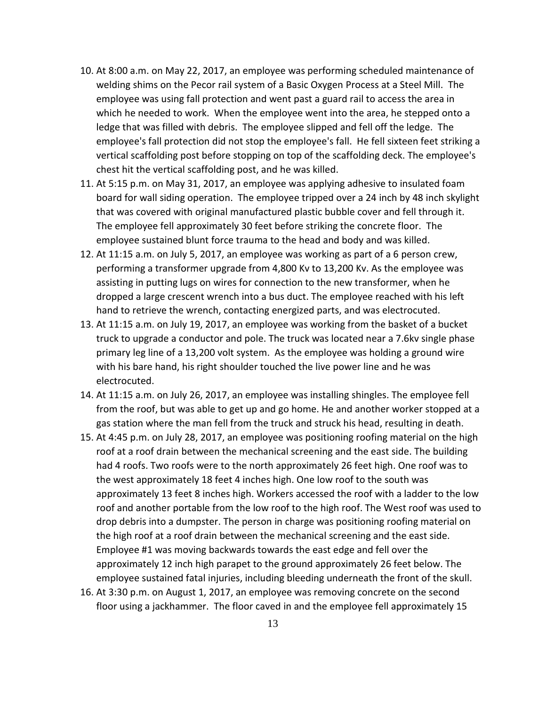- 10. At 8:00 a.m. on May 22, 2017, an employee was performing scheduled maintenance of welding shims on the Pecor rail system of a Basic Oxygen Process at a Steel Mill. The employee was using fall protection and went past a guard rail to access the area in which he needed to work. When the employee went into the area, he stepped onto a ledge that was filled with debris. The employee slipped and fell off the ledge. The employee's fall protection did not stop the employee's fall. He fell sixteen feet striking a vertical scaffolding post before stopping on top of the scaffolding deck. The employee's chest hit the vertical scaffolding post, and he was killed.
- 11. At 5:15 p.m. on May 31, 2017, an employee was applying adhesive to insulated foam board for wall siding operation. The employee tripped over a 24 inch by 48 inch skylight that was covered with original manufactured plastic bubble cover and fell through it. The employee fell approximately 30 feet before striking the concrete floor. The employee sustained blunt force trauma to the head and body and was killed.
- 12. At 11:15 a.m. on July 5, 2017, an employee was working as part of a 6 person crew, performing a transformer upgrade from 4,800 Kv to 13,200 Kv. As the employee was assisting in putting lugs on wires for connection to the new transformer, when he dropped a large crescent wrench into a bus duct. The employee reached with his left hand to retrieve the wrench, contacting energized parts, and was electrocuted.
- 13. At 11:15 a.m. on July 19, 2017, an employee was working from the basket of a bucket truck to upgrade a conductor and pole. The truck was located near a 7.6kv single phase primary leg line of a 13,200 volt system. As the employee was holding a ground wire with his bare hand, his right shoulder touched the live power line and he was electrocuted.
- 14. At 11:15 a.m. on July 26, 2017, an employee was installing shingles. The employee fell from the roof, but was able to get up and go home. He and another worker stopped at a gas station where the man fell from the truck and struck his head, resulting in death.
- 15. At 4:45 p.m. on July 28, 2017, an employee was positioning roofing material on the high roof at a roof drain between the mechanical screening and the east side. The building had 4 roofs. Two roofs were to the north approximately 26 feet high. One roof was to the west approximately 18 feet 4 inches high. One low roof to the south was approximately 13 feet 8 inches high. Workers accessed the roof with a ladder to the low roof and another portable from the low roof to the high roof. The West roof was used to drop debris into a dumpster. The person in charge was positioning roofing material on the high roof at a roof drain between the mechanical screening and the east side. Employee #1 was moving backwards towards the east edge and fell over the approximately 12 inch high parapet to the ground approximately 26 feet below. The employee sustained fatal injuries, including bleeding underneath the front of the skull.
- 16. At 3:30 p.m. on August 1, 2017, an employee was removing concrete on the second floor using a jackhammer. The floor caved in and the employee fell approximately 15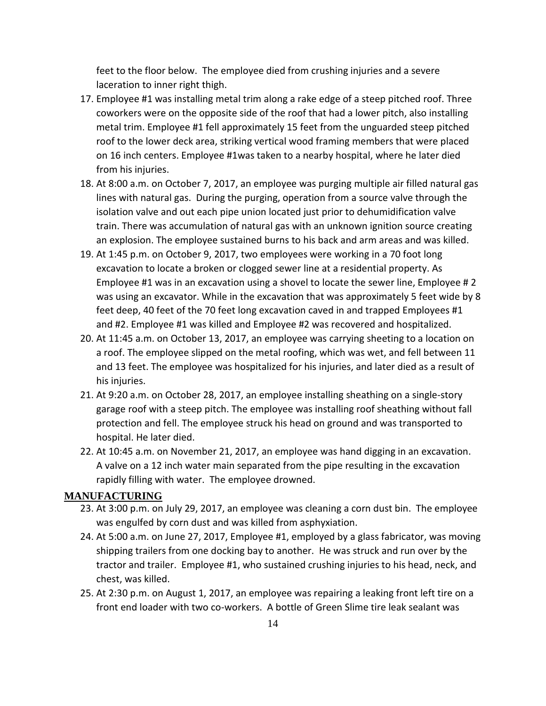feet to the floor below. The employee died from crushing injuries and a severe laceration to inner right thigh.

- 17. Employee #1 was installing metal trim along a rake edge of a steep pitched roof. Three coworkers were on the opposite side of the roof that had a lower pitch, also installing metal trim. Employee #1 fell approximately 15 feet from the unguarded steep pitched roof to the lower deck area, striking vertical wood framing members that were placed on 16 inch centers. Employee #1was taken to a nearby hospital, where he later died from his injuries.
- 18. At 8:00 a.m. on October 7, 2017, an employee was purging multiple air filled natural gas lines with natural gas. During the purging, operation from a source valve through the isolation valve and out each pipe union located just prior to dehumidification valve train. There was accumulation of natural gas with an unknown ignition source creating an explosion. The employee sustained burns to his back and arm areas and was killed.
- 19. At 1:45 p.m. on October 9, 2017, two employees were working in a 70 foot long excavation to locate a broken or clogged sewer line at a residential property. As Employee #1 was in an excavation using a shovel to locate the sewer line, Employee # 2 was using an excavator. While in the excavation that was approximately 5 feet wide by 8 feet deep, 40 feet of the 70 feet long excavation caved in and trapped Employees #1 and #2. Employee #1 was killed and Employee #2 was recovered and hospitalized.
- 20. At 11:45 a.m. on October 13, 2017, an employee was carrying sheeting to a location on a roof. The employee slipped on the metal roofing, which was wet, and fell between 11 and 13 feet. The employee was hospitalized for his injuries, and later died as a result of his injuries.
- 21. At 9:20 a.m. on October 28, 2017, an employee installing sheathing on a single-story garage roof with a steep pitch. The employee was installing roof sheathing without fall protection and fell. The employee struck his head on ground and was transported to hospital. He later died.
- 22. At 10:45 a.m. on November 21, 2017, an employee was hand digging in an excavation. A valve on a 12 inch water main separated from the pipe resulting in the excavation rapidly filling with water. The employee drowned.

#### <span id="page-14-0"></span>**MANUFACTURING**

- 23. At 3:00 p.m. on July 29, 2017, an employee was cleaning a corn dust bin. The employee was engulfed by corn dust and was killed from asphyxiation.
- 24. At 5:00 a.m. on June 27, 2017, Employee #1, employed by a glass fabricator, was moving shipping trailers from one docking bay to another. He was struck and run over by the tractor and trailer. Employee #1, who sustained crushing injuries to his head, neck, and chest, was killed.
- 25. At 2:30 p.m. on August 1, 2017, an employee was repairing a leaking front left tire on a front end loader with two co-workers. A bottle of Green Slime tire leak sealant was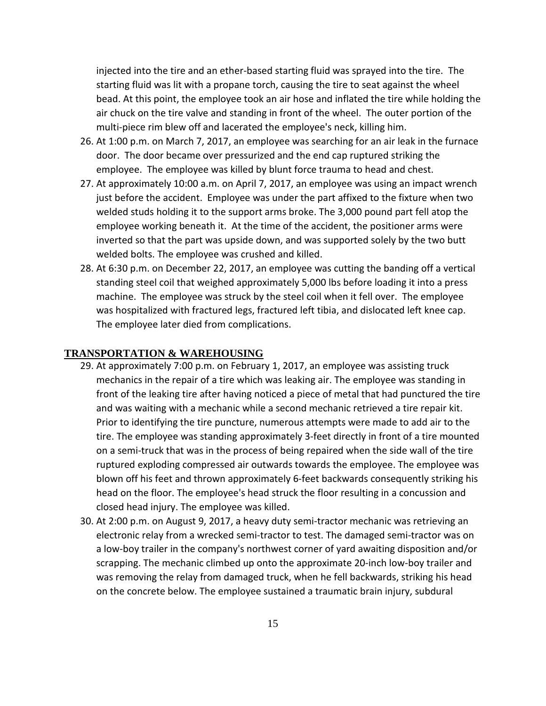injected into the tire and an ether-based starting fluid was sprayed into the tire. The starting fluid was lit with a propane torch, causing the tire to seat against the wheel bead. At this point, the employee took an air hose and inflated the tire while holding the air chuck on the tire valve and standing in front of the wheel. The outer portion of the multi-piece rim blew off and lacerated the employee's neck, killing him.

- 26. At 1:00 p.m. on March 7, 2017, an employee was searching for an air leak in the furnace door. The door became over pressurized and the end cap ruptured striking the employee. The employee was killed by blunt force trauma to head and chest.
- 27. At approximately 10:00 a.m. on April 7, 2017, an employee was using an impact wrench just before the accident. Employee was under the part affixed to the fixture when two welded studs holding it to the support arms broke. The 3,000 pound part fell atop the employee working beneath it. At the time of the accident, the positioner arms were inverted so that the part was upside down, and was supported solely by the two butt welded bolts. The employee was crushed and killed.
- 28. At 6:30 p.m. on December 22, 2017, an employee was cutting the banding off a vertical standing steel coil that weighed approximately 5,000 lbs before loading it into a press machine. The employee was struck by the steel coil when it fell over. The employee was hospitalized with fractured legs, fractured left tibia, and dislocated left knee cap. The employee later died from complications.

#### <span id="page-15-0"></span>**TRANSPORTATION & WAREHOUSING**

- 29. At approximately 7:00 p.m. on February 1, 2017, an employee was assisting truck mechanics in the repair of a tire which was leaking air. The employee was standing in front of the leaking tire after having noticed a piece of metal that had punctured the tire and was waiting with a mechanic while a second mechanic retrieved a tire repair kit. Prior to identifying the tire puncture, numerous attempts were made to add air to the tire. The employee was standing approximately 3-feet directly in front of a tire mounted on a semi-truck that was in the process of being repaired when the side wall of the tire ruptured exploding compressed air outwards towards the employee. The employee was blown off his feet and thrown approximately 6-feet backwards consequently striking his head on the floor. The employee's head struck the floor resulting in a concussion and closed head injury. The employee was killed.
- 30. At 2:00 p.m. on August 9, 2017, a heavy duty semi-tractor mechanic was retrieving an electronic relay from a wrecked semi-tractor to test. The damaged semi-tractor was on a low-boy trailer in the company's northwest corner of yard awaiting disposition and/or scrapping. The mechanic climbed up onto the approximate 20-inch low-boy trailer and was removing the relay from damaged truck, when he fell backwards, striking his head on the concrete below. The employee sustained a traumatic brain injury, subdural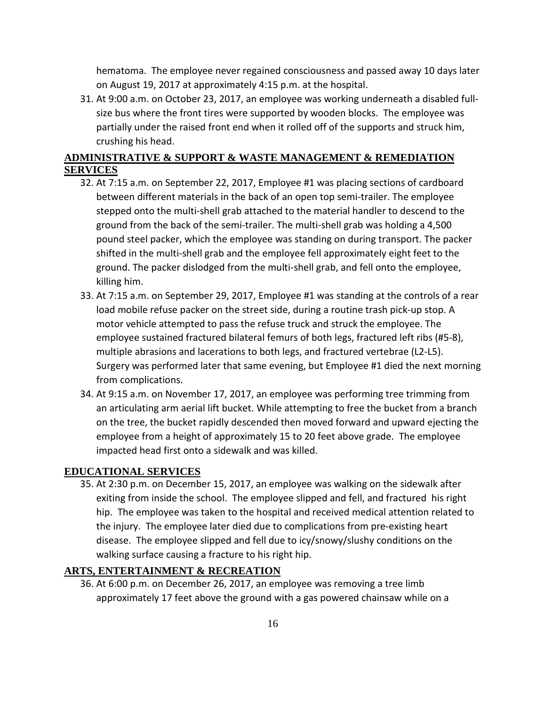hematoma. The employee never regained consciousness and passed away 10 days later on August 19, 2017 at approximately 4:15 p.m. at the hospital.

31. At 9:00 a.m. on October 23, 2017, an employee was working underneath a disabled fullsize bus where the front tires were supported by wooden blocks. The employee was partially under the raised front end when it rolled off of the supports and struck him, crushing his head.

# <span id="page-16-0"></span>**ADMINISTRATIVE & SUPPORT & WASTE MANAGEMENT & REMEDIATION SERVICES**

- 32. At 7:15 a.m. on September 22, 2017, Employee #1 was placing sections of cardboard between different materials in the back of an open top semi-trailer. The employee stepped onto the multi-shell grab attached to the material handler to descend to the ground from the back of the semi-trailer. The multi-shell grab was holding a 4,500 pound steel packer, which the employee was standing on during transport. The packer shifted in the multi-shell grab and the employee fell approximately eight feet to the ground. The packer dislodged from the multi-shell grab, and fell onto the employee, killing him.
- 33. At 7:15 a.m. on September 29, 2017, Employee #1 was standing at the controls of a rear load mobile refuse packer on the street side, during a routine trash pick-up stop. A motor vehicle attempted to pass the refuse truck and struck the employee. The employee sustained fractured bilateral femurs of both legs, fractured left ribs (#5-8), multiple abrasions and lacerations to both legs, and fractured vertebrae (L2-L5). Surgery was performed later that same evening, but Employee #1 died the next morning from complications.
- 34. At 9:15 a.m. on November 17, 2017, an employee was performing tree trimming from an articulating arm aerial lift bucket. While attempting to free the bucket from a branch on the tree, the bucket rapidly descended then moved forward and upward ejecting the employee from a height of approximately 15 to 20 feet above grade. The employee impacted head first onto a sidewalk and was killed.

#### <span id="page-16-1"></span>**EDUCATIONAL SERVICES**

35. At 2:30 p.m. on December 15, 2017, an employee was walking on the sidewalk after exiting from inside the school. The employee slipped and fell, and fractured his right hip. The employee was taken to the hospital and received medical attention related to the injury. The employee later died due to complications from pre-existing heart disease. The employee slipped and fell due to icy/snowy/slushy conditions on the walking surface causing a fracture to his right hip.

#### <span id="page-16-2"></span>**ARTS, ENTERTAINMENT & RECREATION**

36. At 6:00 p.m. on December 26, 2017, an employee was removing a tree limb approximately 17 feet above the ground with a gas powered chainsaw while on a